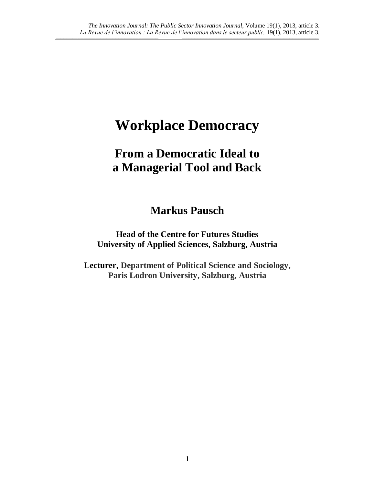$\_$  , and the state of the state of the state of the state of the state of the state of the state of the state of the state of the state of the state of the state of the state of the state of the state of the state of the

# **Workplace Democracy**

# **From a Democratic Ideal to a Managerial Tool and Back**

# **Markus Pausch**

**Head of the Centre for Futures Studies University of Applied Sciences, Salzburg, Austria** 

**Lecturer, Department of Political Science and Sociology, Paris Lodron University, Salzburg, Austria**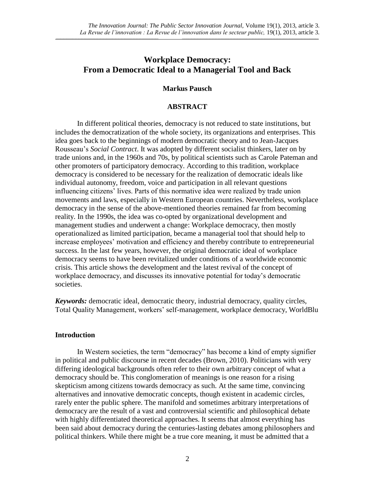# **Workplace Democracy: From a Democratic Ideal to a Managerial Tool and Back**

 $\_$  , and the state of the state of the state of the state of the state of the state of the state of the state of the state of the state of the state of the state of the state of the state of the state of the state of the

## **Markus Pausch**

## **ABSTRACT**

In different political theories, democracy is not reduced to state institutions, but includes the democratization of the whole society, its organizations and enterprises. This idea goes back to the beginnings of modern democratic theory and to Jean-Jacques Rousseau's *Social Contract*. It was adopted by different socialist thinkers, later on by trade unions and, in the 1960s and 70s, by political scientists such as Carole Pateman and other promoters of participatory democracy. According to this tradition, workplace democracy is considered to be necessary for the realization of democratic ideals like individual autonomy, freedom, voice and participation in all relevant questions influencing citizens' lives. Parts of this normative idea were realized by trade union movements and laws, especially in Western European countries. Nevertheless, workplace democracy in the sense of the above-mentioned theories remained far from becoming reality. In the 1990s, the idea was co-opted by organizational development and management studies and underwent a change: Workplace democracy, then mostly operationalized as limited participation, became a managerial tool that should help to increase employees' motivation and efficiency and thereby contribute to entrepreneurial success. In the last few years, however, the original democratic ideal of workplace democracy seems to have been revitalized under conditions of a worldwide economic crisis. This article shows the development and the latest revival of the concept of workplace democracy, and discusses its innovative potential for today's democratic societies.

*Keywords:* democratic ideal, democratic theory, industrial democracy, quality circles, Total Quality Management, workers' self-management, workplace democracy, WorldBlu

#### **Introduction**

In Western societies, the term "democracy" has become a kind of empty signifier in political and public discourse in recent decades (Brown, 2010). Politicians with very differing ideological backgrounds often refer to their own arbitrary concept of what a democracy should be. This conglomeration of meanings is one reason for a rising skepticism among citizens towards democracy as such. At the same time, convincing alternatives and innovative democratic concepts, though existent in academic circles, rarely enter the public sphere. The manifold and sometimes arbitrary interpretations of democracy are the result of a vast and controversial scientific and philosophical debate with highly differentiated theoretical approaches. It seems that almost everything has been said about democracy during the centuries-lasting debates among philosophers and political thinkers. While there might be a true core meaning, it must be admitted that a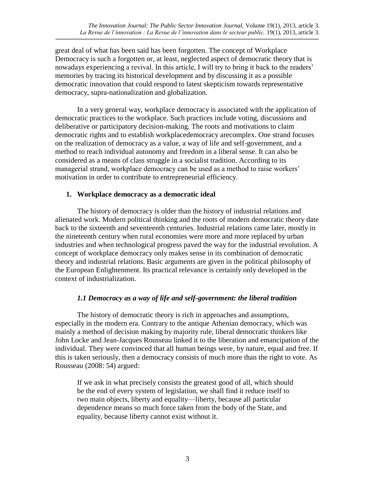great deal of what has been said has been forgotten. The concept of Workplace Democracy is such a forgotten or, at least, neglected aspect of democratic theory that is nowadays experiencing a revival. In this article, I will try to bring it back to the readers' memories by tracing its historical development and by discussing it as a possible democratic innovation that could respond to latest skepticism towards representative democracy, supra-nationalization and globalization.

 $\_$  , and the state of the state of the state of the state of the state of the state of the state of the state of the state of the state of the state of the state of the state of the state of the state of the state of the

In a very general way, workplace democracy is associated with the application of democratic practices to the workplace. Such practices include voting, discussions and deliberative or participatory decision-making. The roots and motivations to claim democratic rights and to establish workplacedemocracy arecomplex. One strand focuses on the realization of democracy as a value, a way of life and self-government, and a method to reach individual autonomy and freedom in a liberal sense. It can also be considered as a means of class struggle in a socialist tradition. According to its managerial strand, workplace democracy can be used as a method to raise workers' motivation in order to contribute to entrepreneurial efficiency.

## **1. Workplace democracy as a democratic ideal**

The history of democracy is older than the history of industrial relations and alienated work. Modern political thinking and the roots of modern democratic theory date back to the sixteenth and seventeenth centuries. Industrial relations came later, mostly in the nineteenth century when rural economies were more and more replaced by urban industries and when technological progress paved the way for the industrial revolution. A concept of workplace democracy only makes sense in its combination of democratic theory and industrial relations. Basic arguments are given in the political philosophy of the European Enlightenment. Its practical relevance is certainly only developed in the context of industrialization.

# *1.1 Democracy as a way of life and self-government: the liberal tradition*

The history of democratic theory is rich in approaches and assumptions, especially in the modern era. Contrary to the antique Athenian democracy, which was mainly a method of decision making by majority rule, liberal democratic thinkers like John Locke and Jean-Jacques Rousseau linked it to the liberation and emancipation of the individual. They were convinced that all human beings were, by nature, equal and free. If this is taken seriously, then a democracy consists of much more than the right to vote. As Rousseau (2008: 54) argued:

If we ask in what precisely consists the greatest good of all, which should be the end of every system of legislation, we shall find it reduce itself to two main objects, liberty and equality—liberty, because all particular dependence means so much force taken from the body of the State, and equality, because liberty cannot exist without it.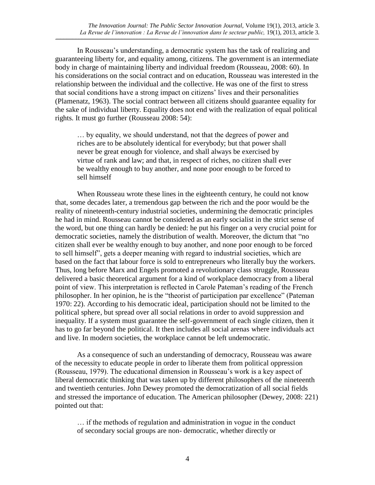In Rousseau's understanding, a democratic system has the task of realizing and guaranteeing liberty for, and equality among, citizens. The government is an intermediate body in charge of maintaining liberty and individual freedom (Rousseau, 2008: 60). In his considerations on the social contract and on education, Rousseau was interested in the relationship between the individual and the collective. He was one of the first to stress that social conditions have a strong impact on citizens' lives and their personalities (Plamenatz, 1963). The social contract between all citizens should guarantee equality for the sake of individual liberty. Equality does not end with the realization of equal political rights. It must go further (Rousseau 2008: 54):

 $\_$  , and the state of the state of the state of the state of the state of the state of the state of the state of the state of the state of the state of the state of the state of the state of the state of the state of the

… by equality, we should understand, not that the degrees of power and riches are to be absolutely identical for everybody; but that power shall never be great enough for violence, and shall always be exercised by virtue of rank and law; and that, in respect of riches, no citizen shall ever be wealthy enough to buy another, and none poor enough to be forced to sell himself

When Rousseau wrote these lines in the eighteenth century, he could not know that, some decades later, a tremendous gap between the rich and the poor would be the reality of nineteenth-century industrial societies, undermining the democratic principles he had in mind. Rousseau cannot be considered as an early socialist in the strict sense of the word, but one thing can hardly be denied: he put his finger on a very crucial point for democratic societies, namely the distribution of wealth. Moreover, the dictum that "no citizen shall ever be wealthy enough to buy another, and none poor enough to be forced to sell himself", gets a deeper meaning with regard to industrial societies, which are based on the fact that labour force is sold to entrepreneurs who literally buy the workers. Thus, long before Marx and Engels promoted a revolutionary class struggle, Rousseau delivered a basic theoretical argument for a kind of workplace democracy from a liberal point of view. This interpretation is reflected in Carole Pateman's reading of the French philosopher. In her opinion, he is the "theorist of participation par excellence" (Pateman 1970: 22). According to his democratic ideal, participation should not be limited to the political sphere, but spread over all social relations in order to avoid suppression and inequality. If a system must guarantee the self-government of each single citizen, then it has to go far beyond the political. It then includes all social arenas where individuals act and live. In modern societies, the workplace cannot be left undemocratic.

As a consequence of such an understanding of democracy, Rousseau was aware of the necessity to educate people in order to liberate them from political oppression (Rousseau, 1979). The educational dimension in Rousseau's work is a key aspect of liberal democratic thinking that was taken up by different philosophers of the nineteenth and twentieth centuries. John Dewey promoted the democratization of all social fields and stressed the importance of education. The American philosopher (Dewey, 2008: 221) pointed out that:

… if the methods of regulation and administration in vogue in the conduct of secondary social groups are non- democratic, whether directly or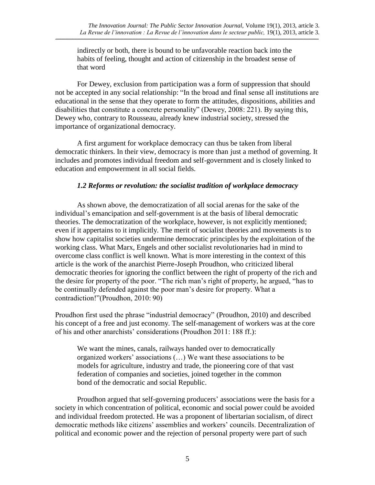indirectly or both, there is bound to be unfavorable reaction back into the habits of feeling, thought and action of citizenship in the broadest sense of that word

For Dewey, exclusion from participation was a form of suppression that should not be accepted in any social relationship: "In the broad and final sense all institutions are educational in the sense that they operate to form the attitudes, dispositions, abilities and disabilities that constitute a concrete personality" (Dewey, 2008: 221). By saying this, Dewey who, contrary to Rousseau, already knew industrial society, stressed the importance of organizational democracy.

A first argument for workplace democracy can thus be taken from liberal democratic thinkers. In their view, democracy is more than just a method of governing. It includes and promotes individual freedom and self-government and is closely linked to education and empowerment in all social fields.

## *1.2 Reforms or revolution: the socialist tradition of workplace democracy*

As shown above, the democratization of all social arenas for the sake of the individual's emancipation and self-government is at the basis of liberal democratic theories. The democratization of the workplace, however, is not explicitly mentioned; even if it appertains to it implicitly. The merit of socialist theories and movements is to show how capitalist societies undermine democratic principles by the exploitation of the working class. What Marx, Engels and other socialist revolutionaries had in mind to overcome class conflict is well known. What is more interesting in the context of this article is the work of the anarchist Pierre-Joseph Proudhon, who criticized liberal democratic theories for ignoring the conflict between the right of property of the rich and the desire for property of the poor. "The rich man's right of property, he argued, "has to be continually defended against the poor man's desire for property. What a contradiction!"(Proudhon, 2010: 90)

Proudhon first used the phrase "industrial democracy" (Proudhon, 2010) and described his concept of a free and just economy. The self-management of workers was at the core of his and other anarchists' considerations (Proudhon 2011: 188 ff.):

We want the mines, canals, railways handed over to democratically organized workers' associations (…) We want these associations to be models for agriculture, industry and trade, the pioneering core of that vast federation of companies and societies, joined together in the common bond of the democratic and social Republic.

Proudhon argued that self-governing producers' associations were the basis for a society in which concentration of political, economic and social power could be avoided and individual freedom protected. He was a proponent of libertarian socialism, of direct democratic methods like citizens' assemblies and workers' councils. Decentralization of political and economic power and the rejection of personal property were part of such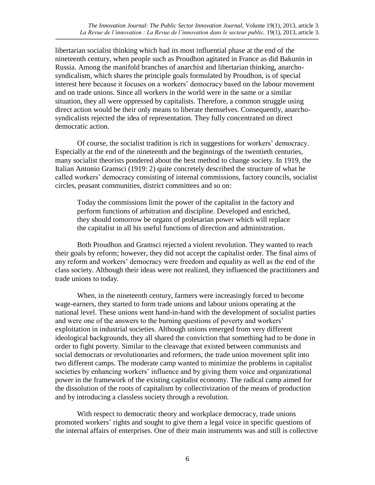libertarian socialist thinking which had its most influential phase at the end of the nineteenth century, when people such as Proudhon agitated in France as did Bakunin in Russia. Among the manifold branches of anarchist and libertarian thinking, anarchosyndicalism, which shares the principle goals formulated by Proudhon, is of special interest here because it focuses on a workers' democracy based on the labour movement and on trade unions. Since all workers in the world were in the same or a similar situation, they all were oppressed by capitalists. Therefore, a common struggle using direct action would be their only means to liberate themselves. Consequently, anarchosyndicalists rejected the idea of representation. They fully concentrated on direct democratic action.

 $\_$  , and the state of the state of the state of the state of the state of the state of the state of the state of the state of the state of the state of the state of the state of the state of the state of the state of the

Of course, the socialist tradition is rich in suggestions for workers' democracy. Especially at the end of the nineteenth and the beginnings of the twentieth centuries, many socialist theorists pondered about the best method to change society. In 1919, the Italian Antonio Gramsci (1919: 2) quite concretely described the structure of what he called workers' democracy consisting of internal commissions, factory councils, socialist circles, peasant communities, district committees and so on:

Today the commissions limit the power of the capitalist in the factory and perform functions of arbitration and discipline. Developed and enriched, they should tomorrow be organs of proletarian power which will replace the capitalist in all his useful functions of direction and administration.

Both Proudhon and Gramsci rejected a violent revolution. They wanted to reach their goals by reform; however, they did not accept the capitalist order. The final aims of any reform and workers' democracy were freedom and equality as well as the end of the class society. Although their ideas were not realized, they influenced the practitioners and trade unions to today.

When, in the nineteenth century, farmers were increasingly forced to become wage-earners, they started to form trade unions and labour unions operating at the national level. These unions went hand-in-hand with the development of socialist parties and were one of the answers to the burning questions of poverty and workers' exploitation in industrial societies. Although unions emerged from very different ideological backgrounds, they all shared the conviction that something had to be done in order to fight poverty. Similar to the cleavage that existed between communists and social democrats or revolutionaries and reformers, the trade union movement split into two different camps. The moderate camp wanted to minimize the problems in capitalist societies by enhancing workers' influence and by giving them voice and organizational power in the framework of the existing capitalist economy. The radical camp aimed for the dissolution of the roots of capitalism by collectivization of the means of production and by introducing a classless society through a revolution.

With respect to democratic theory and workplace democracy, trade unions promoted workers' rights and sought to give them a legal voice in specific questions of the internal affairs of enterprises. One of their main instruments was and still is collective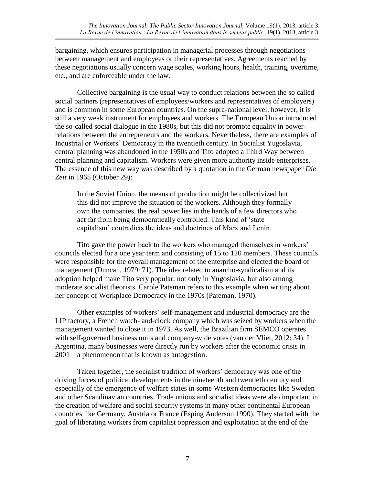bargaining, which ensures participation in managerial processes through negotiations between management and employees or their representatives. Agreements reached by these negotiations usually concern wage scales, working hours, health, training, overtime, etc., and are enforceable under the law.

 $\_$  , and the state of the state of the state of the state of the state of the state of the state of the state of the state of the state of the state of the state of the state of the state of the state of the state of the

Collective bargaining is the usual way to conduct relations between the so called social partners (representatives of employees/workers and representatives of employers) and is common in some European countries. On the supra-national level, however, it is still a very weak instrument for employees and workers. The European Union introduced the so-called social dialogue in the 1980s, but this did not promote equality in powerrelations between the entrepreneurs and the workers. Nevertheless, there are examples of Industrial or Workers' Democracy in the twentieth century. In Socialist Yugoslavia, central planning was abandoned in the 1950s and Tito adopted a Third Way between central planning and capitalism. Workers were given more authority inside enterprises. The essence of this new way was described by a quotation in the German newspaper *Die Zeit* in 1965 (October 29):

In the Soviet Union, the means of production might be collectivized but this did not improve the situation of the workers. Although they formally own the companies, the real power lies in the hands of a few directors who act far from being democratically controlled. This kind of 'state capitalism' contradicts the ideas and doctrines of Marx and Lenin.

Tito gave the power back to the workers who managed themselves in workers' councils elected for a one year term and consisting of 15 to 120 members. These councils were responsible for the overall management of the enterprise and elected the board of management (Duncan, 1979: 71). The idea related to anarcho-syndicalism and its adoption helped make Tito very popular, not only in Yugoslavia, but also among moderate socialist theorists. Carole Pateman refers to this example when writing about her concept of Workplace Democracy in the 1970s (Pateman, 1970).

Other examples of workers' self-management and industrial democracy are the LIP factory, a French watch- and-clock company which was seized by workers when the management wanted to close it in 1973. As well, the Brazilian firm SEMCO operates with self-governed business units and company-wide votes (van der Vliet, 2012: 34). In Argentina, many businesses were directly run by workers after the economic crisis in 2001—a phenomenon that is known as autogestion.

Taken together, the socialist tradition of workers' democracy was one of the driving forces of political developments in the nineteenth and twentieth century and especially of the emergence of welfare states in some Western democracies like Sweden and other Scandinavian countries. Trade unions and socialist ideas were also important in the creation of welfare and social security systems in many other continental European countries like Germany, Austria or France (Esping Anderson 1990). They started with the goal of liberating workers from capitalist oppression and exploitation at the end of the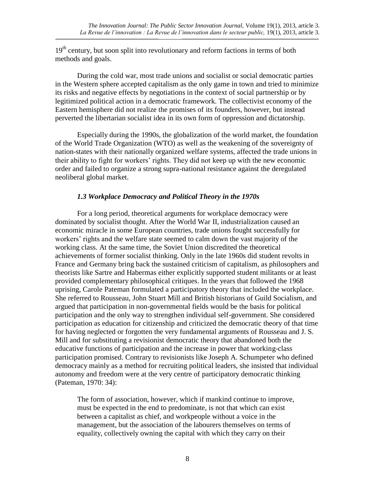19<sup>th</sup> century, but soon split into revolutionary and reform factions in terms of both methods and goals.

During the cold war, most trade unions and socialist or social democratic parties in the Western sphere accepted capitalism as the only game in town and tried to minimize its risks and negative effects by negotiations in the context of social partnership or by legitimized political action in a democratic framework. The collectivist economy of the Eastern hemisphere did not realize the promises of its founders, however, but instead perverted the libertarian socialist idea in its own form of oppression and dictatorship.

 $\_$  , and the state of the state of the state of the state of the state of the state of the state of the state of the state of the state of the state of the state of the state of the state of the state of the state of the

Especially during the 1990s, the globalization of the world market, the foundation of the World Trade Organization (WTO) as well as the weakening of the sovereignty of nation-states with their nationally organized welfare systems, affected the trade unions in their ability to fight for workers' rights. They did not keep up with the new economic order and failed to organize a strong supra-national resistance against the deregulated neoliberal global market.

## *1.3 Workplace Democracy and Political Theory in the 1970s*

For a long period, theoretical arguments for workplace democracy were dominated by socialist thought. After the World War II, industrialization caused an economic miracle in some European countries, trade unions fought successfully for workers' rights and the welfare state seemed to calm down the vast majority of the working class. At the same time, the Soviet Union discredited the theoretical achievements of former socialist thinking. Only in the late 1960s did student revolts in France and Germany bring back the sustained criticism of capitalism, as philosophers and theorists like Sartre and Habermas either explicitly supported student militants or at least provided complementary philosophical critiques. In the years that followed the 1968 uprising, Carole Pateman formulated a participatory theory that included the workplace. She referred to Rousseau, John Stuart Mill and British historians of Guild Socialism, and argued that participation in non-governmental fields would be the basis for political participation and the only way to strengthen individual self-government. She considered participation as education for citizenship and criticized the democratic theory of that time for having neglected or forgotten the very fundamental arguments of Rousseau and J. S. Mill and for substituting a revisionist democratic theory that abandoned both the educative functions of participation and the increase in power that working-class participation promised. Contrary to revisionists like Joseph A. Schumpeter who defined democracy mainly as a method for recruiting political leaders, she insisted that individual autonomy and freedom were at the very centre of participatory democratic thinking (Pateman, 1970: 34):

The form of association, however, which if mankind continue to improve, must be expected in the end to predominate, is not that which can exist between a capitalist as chief, and workpeople without a voice in the management, but the association of the labourers themselves on terms of equality, collectively owning the capital with which they carry on their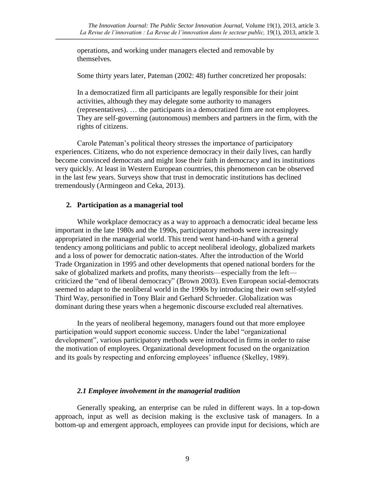operations, and working under managers elected and removable by themselves.

Some thirty years later, Pateman (2002: 48) further concretized her proposals:

 $\_$  , and the state of the state of the state of the state of the state of the state of the state of the state of the state of the state of the state of the state of the state of the state of the state of the state of the

In a democratized firm all participants are legally responsible for their joint activities, although they may delegate some authority to managers (representatives). … the participants in a democratized firm are not employees. They are self-governing (autonomous) members and partners in the firm, with the rights of citizens.

Carole Pateman's political theory stresses the importance of participatory experiences. Citizens, who do not experience democracy in their daily lives, can hardly become convinced democrats and might lose their faith in democracy and its institutions very quickly. At least in Western European countries, this phenomenon can be observed in the last few years. Surveys show that trust in democratic institutions has declined tremendously (Armingeon and Ceka, 2013).

#### **2. Participation as a managerial tool**

While workplace democracy as a way to approach a democratic ideal became less important in the late 1980s and the 1990s, participatory methods were increasingly appropriated in the managerial world. This trend went hand-in-hand with a general tendency among politicians and public to accept neoliberal ideology, globalized markets and a loss of power for democratic nation-states. After the introduction of the World Trade Organization in 1995 and other developments that opened national borders for the sake of globalized markets and profits, many theorists—especially from the left criticized the "end of liberal democracy" (Brown 2003). Even European social-democrats seemed to adapt to the neoliberal world in the 1990s by introducing their own self-styled Third Way, personified in Tony Blair and Gerhard Schroeder. Globalization was dominant during these years when a hegemonic discourse excluded real alternatives.

In the years of neoliberal hegemony, managers found out that more employee participation would support economic success. Under the label "organizational development", various participatory methods were introduced in firms in order to raise the motivation of employees. Organizational development focused on the organization and its goals by respecting and enforcing employees' influence (Skelley, 1989).

#### *2.1 Employee involvement in the managerial tradition*

Generally speaking, an enterprise can be ruled in different ways. In a top-down approach, input as well as decision making is the exclusive task of managers. In a bottom-up and emergent approach, employees can provide input for decisions, which are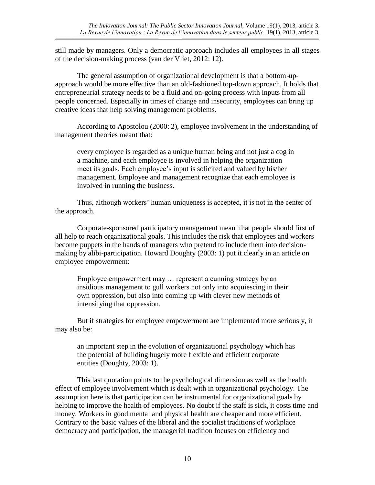still made by managers. Only a democratic approach includes all employees in all stages of the decision-making process (van der Vliet, 2012: 12).

 $\_$  , and the state of the state of the state of the state of the state of the state of the state of the state of the state of the state of the state of the state of the state of the state of the state of the state of the

The general assumption of organizational development is that a bottom-upapproach would be more effective than an old-fashioned top-down approach. It holds that entrepreneurial strategy needs to be a fluid and on-going process with inputs from all people concerned. Especially in times of change and insecurity, employees can bring up creative ideas that help solving management problems.

According to Apostolou (2000: 2), employee involvement in the understanding of management theories meant that:

every employee is regarded as a unique human being and not just a cog in a machine, and each employee is involved in helping the organization meet its goals. Each employee's input is solicited and valued by his/her management. Employee and management recognize that each employee is involved in running the business.

Thus, although workers' human uniqueness is accepted, it is not in the center of the approach.

Corporate-sponsored participatory management meant that people should first of all help to reach organizational goals. This includes the risk that employees and workers become puppets in the hands of managers who pretend to include them into decisionmaking by alibi-participation. Howard Doughty (2003: 1) put it clearly in an article on employee empowerment:

Employee empowerment may … represent a cunning strategy by an insidious management to gull workers not only into acquiescing in their own oppression, but also into coming up with clever new methods of intensifying that oppression.

But if strategies for employee empowerment are implemented more seriously, it may also be:

an important step in the evolution of organizational psychology which has the potential of building hugely more flexible and efficient corporate entities (Doughty, 2003: 1).

This last quotation points to the psychological dimension as well as the health effect of employee involvement which is dealt with in organizational psychology. The assumption here is that participation can be instrumental for organizational goals by helping to improve the health of employees. No doubt if the staff is sick, it costs time and money. Workers in good mental and physical health are cheaper and more efficient. Contrary to the basic values of the liberal and the socialist traditions of workplace democracy and participation, the managerial tradition focuses on efficiency and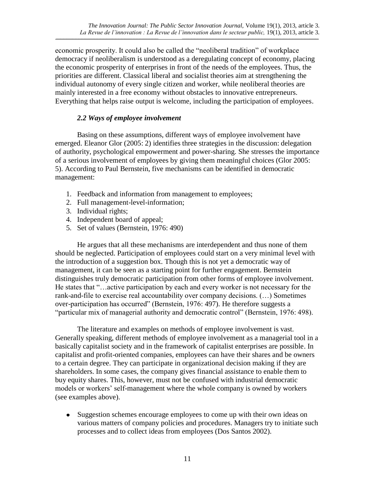economic prosperity. It could also be called the "neoliberal tradition" of workplace democracy if neoliberalism is understood as a deregulating concept of economy, placing the economic prosperity of enterprises in front of the needs of the employees. Thus, the priorities are different. Classical liberal and socialist theories aim at strengthening the individual autonomy of every single citizen and worker, while neoliberal theories are mainly interested in a free economy without obstacles to innovative entrepreneurs. Everything that helps raise output is welcome, including the participation of employees.

 $\_$  , and the state of the state of the state of the state of the state of the state of the state of the state of the state of the state of the state of the state of the state of the state of the state of the state of the

# *2.2 Ways of employee involvement*

Basing on these assumptions, different ways of employee involvement have emerged. Eleanor Glor (2005: 2) identifies three strategies in the discussion: delegation of authority, psychological empowerment and power-sharing. She stresses the importance of a serious involvement of employees by giving them meaningful choices (Glor 2005: 5). According to Paul Bernstein, five mechanisms can be identified in democratic management:

- 1. Feedback and information from management to employees;
- 2. Full management-level-information;
- 3. Individual rights;
- 4. Independent board of appeal;
- 5. Set of values (Bernstein, 1976: 490)

He argues that all these mechanisms are interdependent and thus none of them should be neglected. Participation of employees could start on a very minimal level with the introduction of a suggestion box. Though this is not yet a democratic way of management, it can be seen as a starting point for further engagement. Bernstein distinguishes truly democratic participation from other forms of employee involvement. He states that "…active participation by each and every worker is not necessary for the rank-and-file to exercise real accountability over company decisions. (…) Sometimes over-participation has occurred" (Bernstein, 1976: 497). He therefore suggests a "particular mix of managerial authority and democratic control" (Bernstein, 1976: 498).

The literature and examples on methods of employee involvement is vast. Generally speaking, different methods of employee involvement as a managerial tool in a basically capitalist society and in the framework of capitalist enterprises are possible. In capitalist and profit-oriented companies, employees can have their shares and be owners to a certain degree. They can participate in organizational decision making if they are shareholders. In some cases, the company gives financial assistance to enable them to buy equity shares. This, however, must not be confused with industrial democratic models or workers' self-management where the whole company is owned by workers (see examples above).

• Suggestion schemes encourage employees to come up with their own ideas on various matters of company policies and procedures. Managers try to initiate such processes and to collect ideas from employees (Dos Santos 2002).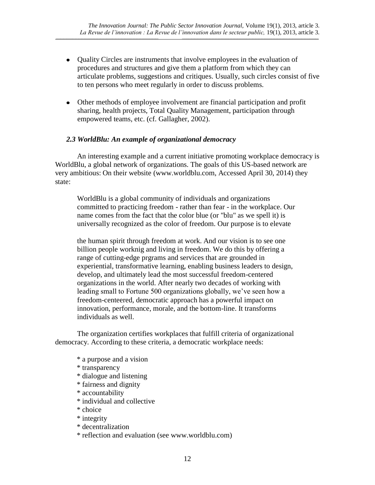Quality Circles are instruments that involve employees in the evaluation of procedures and structures and give them a platform from which they can articulate problems, suggestions and critiques. Usually, such circles consist of five to ten persons who meet regularly in order to discuss problems.

 $\_$  , and the state of the state of the state of the state of the state of the state of the state of the state of the state of the state of the state of the state of the state of the state of the state of the state of the

Other methods of employee involvement are financial participation and profit sharing, health projects, Total Quality Management, participation through empowered teams, etc. (cf. Gallagher, 2002).

## *2.3 WorldBlu: An example of organizational democracy*

An interesting example and a current initiative promoting workplace democracy is WorldBlu, a global network of organizations. The goals of this US-based network are very ambitious: On their website (www.worldblu.com, Accessed April 30, 2014) they state:

WorldBlu is a global community of individuals and organizations committed to practicing freedom - rather than fear - in the workplace. Our name comes from the fact that the color blue (or "blu" as we spell it) is universally recognized as the color of freedom. Our purpose is to elevate

the human spirit through freedom at work. And our vision is to see one billion people worknig and living in freedom. We do this by offering a range of cutting-edge prgrams and services that are grounded in experiential, transformative learning, enabling business leaders to design, develop, and ultimately lead the most successful freedom-centered organizations in the world. After nearly two decades of working with leading small to Fortune 500 organizations globally, we've seen how a freedom-centeered, democratic approach has a powerful impact on innovation, performance, morale, and the bottom-line. It transforms individuals as well.

The organization certifies workplaces that fulfill criteria of organizational democracy. According to these criteria, a democratic workplace needs:

- \* a purpose and a vision
- \* transparency
- \* dialogue and listening
- \* fairness and dignity
- \* accountability
- \* individual and collective
- \* choice
- \* integrity
- \* decentralization
- \* reflection and evaluation (see www.worldblu.com)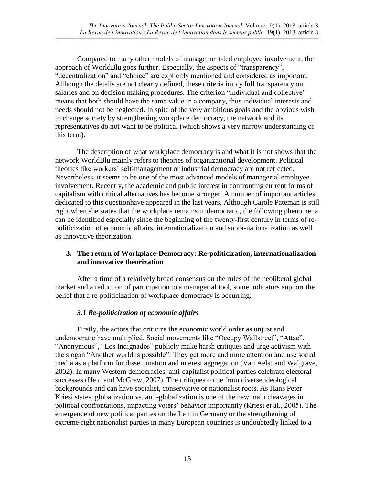Compared to many other models of management-led employee involvement, the approach of WorldBlu goes further. Especially, the aspects of "transparency", "decentralization" and "choice" are explicitly mentioned and considered as important. Although the details are not clearly defined, these criteria imply full transparency on salaries and on decision making procedures. The criterion "individual and collective" means that both should have the same value in a company, thus individual interests and needs should not be neglected. In spite of the very ambitious goals and the obvious wish to change society by strengthening workplace democracy, the network and its representatives do not want to be political (which shows a very narrow understanding of this term).

 $\_$  , and the state of the state of the state of the state of the state of the state of the state of the state of the state of the state of the state of the state of the state of the state of the state of the state of the

The description of what workplace democracy is and what it is not shows that the network WorldBlu mainly refers to theories of organizational development. Political theories like workers' self-management or industrial democracy are not reflected. Nevertheless, it seems to be one of the most advanced models of managerial employee involvement. Recently, the academic and public interest in confronting current forms of capitalism with critical alternatives has become stronger. A number of important articles dedicated to this questionhave appeared in the last years. Although Carole Pateman is still right when she states that the workplace remains undemocratic, the following phenomena can be identified especially since the beginning of the twenty-first century in terms of repoliticization of economic affairs, internationalization and supra-nationalization as well as innovative theorization.

## **3. The return of Workplace-Democracy: Re-politicization, internationalization and innovative theorization**

After a time of a relatively broad consensus on the rules of the neoliberal global market and a reduction of participation to a managerial tool, some indicators support the belief that a re-politicization of workplace democracy is occurring.

## *3.1 Re-politicization of economic affairs*

Firstly, the actors that criticize the economic world order as unjust and undemocratic have multiplied. Social movements like "Occupy Wallstreet", "Attac", "Anonymous", "Los Indignados" publicly make harsh critiques and urge activism with the slogan "Another world is possible". They get more and more attention and use social media as a platform for dissemination and interest aggregation (Van Aelst and Walgrave, 2002). In many Western democracies, anti-capitalist political parties celebrate electoral successes (Held and McGrew, 2007). The critiques come from diverse ideological backgrounds and can have socialist, conservative or nationalist roots. As Hans Peter Kriesi states, globalization vs. anti-globalization is one of the new main cleavages in political confrontations, impacting voters' behavior importantly (Kriesi et al., 2005). The emergence of new political parties on the Left in Germany or the strengthening of extreme-right nationalist parties in many European countries is undoubtedly linked to a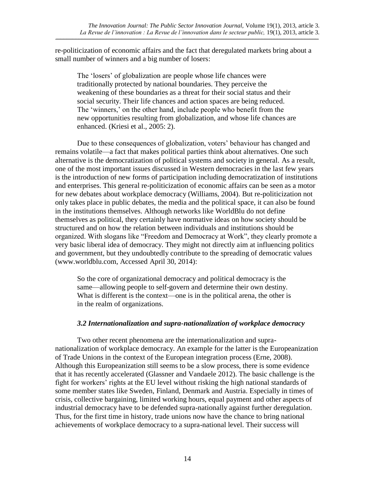re-politicization of economic affairs and the fact that deregulated markets bring about a small number of winners and a big number of losers:

 $\_$  , and the state of the state of the state of the state of the state of the state of the state of the state of the state of the state of the state of the state of the state of the state of the state of the state of the

The 'losers' of globalization are people whose life chances were traditionally protected by national boundaries. They perceive the weakening of these boundaries as a threat for their social status and their social security. Their life chances and action spaces are being reduced. The 'winners,' on the other hand, include people who benefit from the new opportunities resulting from globalization, and whose life chances are enhanced. (Kriesi et al., 2005: 2).

Due to these consequences of globalization, voters' behaviour has changed and remains volatile—a fact that makes political parties think about alternatives. One such alternative is the democratization of political systems and society in general. As a result, one of the most important issues discussed in Western democracies in the last few years is the introduction of new forms of participation including democratization of institutions and enterprises. This general re-politicization of economic affairs can be seen as a motor for new debates about workplace democracy (Williams, 2004). But re-politicization not only takes place in public debates, the media and the political space, it can also be found in the institutions themselves. Although networks like WorldBlu do not define themselves as political, they certainly have normative ideas on how society should be structured and on how the relation between individuals and institutions should be organized. With slogans like "Freedom and Democracy at Work", they clearly promote a very basic liberal idea of democracy. They might not directly aim at influencing politics and government, but they undoubtedly contribute to the spreading of democratic values (www.worldblu.com, Accessed April 30, 2014):

So the core of organizational democracy and political democracy is the same—allowing people to self-govern and determine their own destiny. What is different is the context—one is in the political arena, the other is in the realm of organizations.

### *3.2 Internationalization and supra-nationalization of workplace democracy*

Two other recent phenomena are the internationalization and supranationalization of workplace democracy. An example for the latter is the Europeanization of Trade Unions in the context of the European integration process (Erne, 2008). Although this Europeanization still seems to be a slow process, there is some evidence that it has recently accelerated (Glassner and Vandaele 2012). The basic challenge is the fight for workers' rights at the EU level without risking the high national standards of some member states like Sweden, Finland, Denmark and Austria. Especially in times of crisis, collective bargaining, limited working hours, equal payment and other aspects of industrial democracy have to be defended supra-nationally against further deregulation. Thus, for the first time in history, trade unions now have the chance to bring national achievements of workplace democracy to a supra-national level. Their success will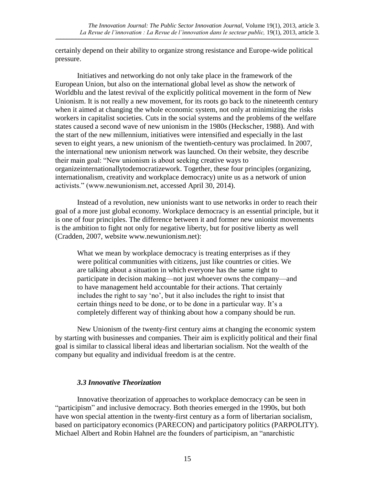certainly depend on their ability to organize strong resistance and Europe-wide political pressure.

 $\_$  , and the state of the state of the state of the state of the state of the state of the state of the state of the state of the state of the state of the state of the state of the state of the state of the state of the

Initiatives and networking do not only take place in the framework of the European Union, but also on the international global level as show the network of Worldblu and the latest revival of the explicitly political movement in the form of New Unionism. It is not really a new movement, for its roots go back to the nineteenth century when it aimed at changing the whole economic system, not only at minimizing the risks workers in capitalist societies. Cuts in the social systems and the problems of the welfare states caused a second wave of new unionism in the 1980s (Heckscher, 1988). And with the start of the new millennium, initiatives were intensified and especially in the last seven to eight years, a new unionism of the twentieth-century was proclaimed. In 2007, the international new unionism network was launched. On their website, they describe their main goal: "New unionism is about seeking creative ways to [organizeinternationallyt](http://www.newunionism.net/new_unionism.htm#organizing)[odemocratizework.](http://www.newunionism.net/new_unionism.htm#work_democ) Together, these four principles (organizing, internationalism, creativity and workplace democracy) unite us as a network of union activists." (www.newunionism.net, accessed April 30, 2014).

Instead of a revolution, new unionists want to use networks in order to reach their goal of a more just global economy. Workplace democracy is an essential principle, but it is one of four principles. The difference between it and former new unionist movements is the ambition to fight not only for negative liberty, but for positive liberty as well (Cradden, 2007, website www.newunionism.net):

What we mean by workplace democracy is treating enterprises as if they were political communities with citizens, just like countries or cities. We are talking about a situation in which everyone has the same right to participate in decision making—not just whoever owns the company—and to have management held accountable for their actions. That certainly includes the right to say 'no', but it also includes the right to insist that certain things need to be done, or to be done in a particular way. It's a completely different way of thinking about how a company should be run*.*

New Unionism of the twenty-first century aims at changing the economic system by starting with businesses and companies. Their aim is explicitly political and their final goal is similar to classical liberal ideas and libertarian socialism. Not the wealth of the company but equality and individual freedom is at the centre.

## *3.3 Innovative Theorization*

Innovative theorization of approaches to workplace democracy can be seen in "participism" and inclusive democracy. Both theories emerged in the 1990s, but both have won special attention in the twenty-first century as a form of libertarian socialism, based on participatory economics (PARECON) and participatory politics (PARPOLITY). Michael Albert and Robin Hahnel are the founders of participism, an "anarchistic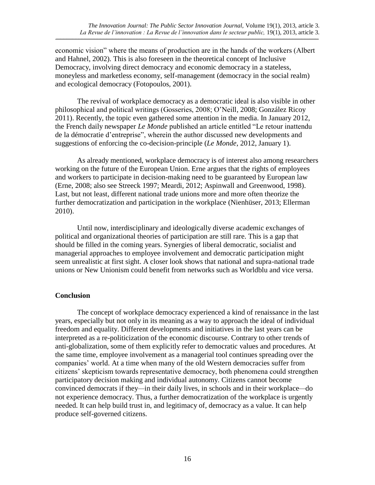economic vision" where the means of production are in the hands of the workers (Albert and Hahnel, 2002). This is also foreseen in the theoretical concept of Inclusive Democracy, involving direct democracy and economic democracy in a stateless, moneyless and marketless economy, self-management (democracy in the social realm) and ecological democracy (Fotopoulos, 2001).

 $\_$  , and the state of the state of the state of the state of the state of the state of the state of the state of the state of the state of the state of the state of the state of the state of the state of the state of the

The revival of workplace democracy as a democratic ideal is also visible in other philosophical and political writings (Gosseries, 2008; O'Neill, 2008; González Ricoy 2011). Recently, the topic even gathered some attention in the media. In January 2012, the French daily newspaper *Le Monde* published an article entitled "Le retour inattendu de la démocratie d'entreprise", wherein the author discussed new developments and suggestions of enforcing the co-decision-principle (*Le Monde*, 2012, January 1).

As already mentioned, workplace democracy is of interest also among researchers working on the future of the European Union. Erne argues that the rights of employees and workers to participate in decision-making need to be guaranteed by European law (Erne, 2008; also see Streeck 1997; Meardi, 2012; Aspinwall and Greenwood, 1998). Last, but not least, different national trade unions more and more often theorize the further democratization and participation in the workplace (Nienhüser, 2013; Ellerman 2010).

Until now, interdisciplinary and ideologically diverse academic exchanges of political and organizational theories of participation are still rare. This is a gap that should be filled in the coming years. Synergies of liberal democratic, socialist and managerial approaches to employee involvement and democratic participation might seem unrealistic at first sight. A closer look shows that national and supra-national trade unions or New Unionism could benefit from networks such as Worldblu and vice versa.

## **Conclusion**

The concept of workplace democracy experienced a kind of renaissance in the last years, especially but not only in its meaning as a way to approach the ideal of individual freedom and equality. Different developments and initiatives in the last years can be interpreted as a re-politicization of the economic discourse. Contrary to other trends of anti-globalization, some of them explicitly refer to democratic values and procedures. At the same time, employee involvement as a managerial tool continues spreading over the companies' world. At a time when many of the old Western democracies suffer from citizens' skepticism towards representative democracy, both phenomena could strengthen participatory decision making and individual autonomy. Citizens cannot become convinced democrats if they*—*in their daily lives, in schools and in their workplace*—*do not experience democracy. Thus, a further democratization of the workplace is urgently needed. It can help build trust in, and legitimacy of, democracy as a value. It can help produce self-governed citizens.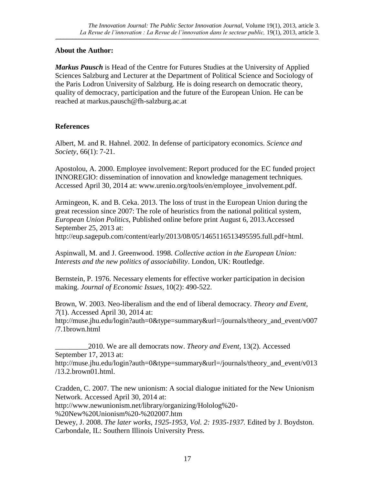## **About the Author:**

*Markus Pausch* is Head of the Centre for Futures Studies at the University of Applied Sciences Salzburg and Lecturer at the Department of Political Science and Sociology of the Paris Lodron University of Salzburg. He is doing research on democratic theory, quality of democracy, participation and the future of the European Union. He can be reached at markus.pausch@fh-salzburg.ac.at

 $\_$  , and the state of the state of the state of the state of the state of the state of the state of the state of the state of the state of the state of the state of the state of the state of the state of the state of the

## **References**

Albert, M. and R. Hahnel. 2002. In defense of participatory economics. *Science and Society*, 66(1): 7-21.

Apostolou, A. 2000. Employee involvement: Report produced for the EC funded project INNOREGIO: dissemination of innovation and knowledge management techniques. Accessed April 30, 2014 at: www.urenio.org/tools/en/employee\_involvement.pdf.

Armingeon, K. and B. Ceka. 2013. The loss of trust in the European Union during the great recession since 2007: The role of heuristics from the national political system, *European Union Politics*, Published online before print August 6, 2013.Accessed September 25, 2013 at:

http://eup.sagepub.com/content/early/2013/08/05/1465116513495595.full.pdf+html.

Aspinwall, M. and J. Greenwood. 1998. *Collective action in the European Union: Interests and the new politics of associability*. London, UK: Routledge.

Bernstein, P. 1976. Necessary elements for effective worker participation in decision making. *Journal of Economic Issues*, 10(2): 490-522.

Brown, W. 2003. Neo-liberalism and the end of liberal democracy. *Theory and Event, 7*(1). Accessed April 30, 2014 at:

http://muse.jhu.edu/login?auth=0&type=summary&url=/journals/theory\_and\_event/v007 /7.1brown.html

\_\_\_\_\_\_\_\_\_2010. We are all democrats now. *Theory and Event*, 13(2). Accessed September 17, 2013 at: http://muse.jhu.edu/login?auth=0&type=summary&url=/journals/theory\_and\_event/v013 /13.2.brown01.html.

Cradden, C. 2007. The new unionism: A social dialogue initiated for the New Unionism Network. Accessed April 30, 2014 at:

http://www.newunionism.net/library/organizing/Hololog%20-

%20New%20Unionism%20-%202007.htm

Dewey, J. 2008. *The later works*, *1925-1953, Vol. 2: 1935-1937.* Edited by J. Boydston. Carbondale, IL: Southern Illinois University Press.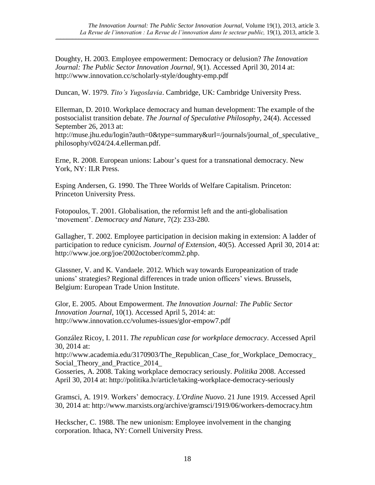Doughty, H. 2003. Employee empowerment: Democracy or delusion? *The Innovation Journal: The Public Sector Innovation Journal*, 9(1). Accessed April 30, 2014 at: http://www.innovation.cc/scholarly-style/doughty-emp.pdf

 $\_$  , and the state of the state of the state of the state of the state of the state of the state of the state of the state of the state of the state of the state of the state of the state of the state of the state of the

Duncan, W. 1979. *Tito's Yugoslavia*. Cambridge, UK: Cambridge University Press.

Ellerman, D. 2010. Workplace democracy and human development: The example of the postsocialist transition debate. *The Journal of Speculative Philosophy*, 24(4). Accessed September 26, 2013 at:

http://muse.jhu.edu/login?auth=0&type=summary&url=/journals/journal\_of\_speculative philosophy/v024/24.4.ellerman.pdf.

Erne, R. 2008. European unions: Labour's quest for a transnational democracy. New York, NY: ILR Press.

Esping Andersen, G. 1990. The Three Worlds of Welfare Capitalism. Princeton: Princeton University Press.

Fotopoulos, T. 2001. Globalisation, the reformist left and the anti-globalisation 'movement'. *Democracy and Nature*, 7(2): 233-280.

Gallagher, T. 2002. Employee participation in decision making in extension: A ladder of participation to reduce cynicism. *Journal of Extension*, 40(5). Accessed April 30, 2014 at: http://www.joe.org/joe/2002october/comm2.php.

Glassner, V. and K. Vandaele. 2012. Which way towards Europeanization of trade unions' strategies? Regional differences in trade union officers' views. Brussels, Belgium: European Trade Union Institute.

Glor, E. 2005. About Empowerment. *The Innovation Journal: The Public Sector Innovation Journal*, 10(1). Accessed April 5, 2014: at: http://www.innovation.cc/volumes-issues/glor-empow7.pdf

González Ricoy, I. 2011. *The republican case for workplace democracy*. Accessed April 30, 2014 at:

http://www.academia.edu/3170903/The\_Republican\_Case\_for\_Workplace\_Democracy\_ Social Theory and Practice 2014

Gosseries, A. 2008. Taking workplace democracy seriously. *Politika* 2008. Accessed April 30, 2014 at: http://politika.lv/article/taking-workplace-democracy-seriously

Gramsci, A. 1919. Workers' democracy. *L'Ordine Nuovo*. 21 June 1919. Accessed April 30, 2014 at: http://www.marxists.org/archive/gramsci/1919/06/workers-democracy.htm

Heckscher, C. 1988. The new unionism: Employee involvement in the changing corporation. Ithaca, NY: Cornell University Press.